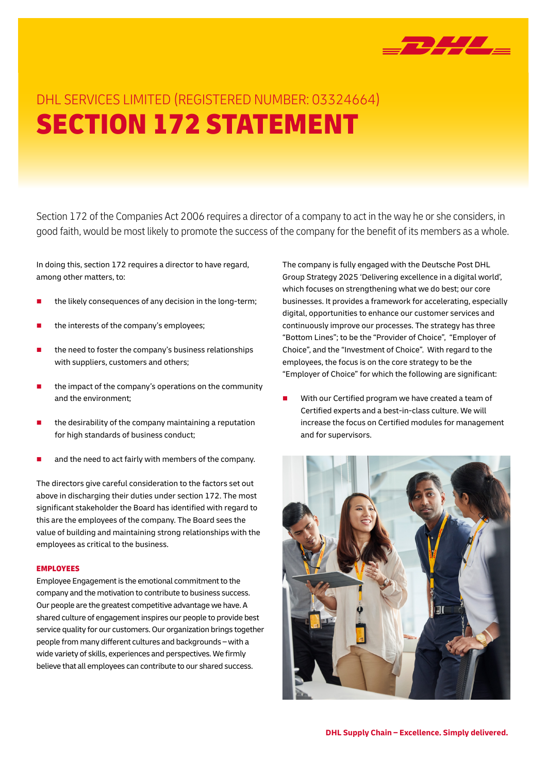

## DHL SERVICES LIMITED (REGISTERED NUMBER: 03324664) SECTION 172 STATEMENT

Section 172 of the Companies Act 2006 requires a director of a company to act in the way he or she considers, in good faith, would be most likely to promote the success of the company for the benefit of its members as a whole.

In doing this, section 172 requires a director to have regard, among other matters, to:

- the likely consequences of any decision in the long-term;
- the interests of the company's employees;
- the need to foster the company's business relationships with suppliers, customers and others;
- the impact of the company's operations on the community and the environment;
- the desirability of the company maintaining a reputation for high standards of business conduct;
- and the need to act fairly with members of the company.

The directors give careful consideration to the factors set out above in discharging their duties under section 172. The most significant stakeholder the Board has identified with regard to this are the employees of the company. The Board sees the value of building and maintaining strong relationships with the employees as critical to the business.

## EMPLOYEES

Employee Engagement is the emotional commitment to the company and the motivation to contribute to business success. Our people are the greatest competitive advantage we have. A shared culture of engagement inspires our people to provide best service quality for our customers. Our organization brings together people from many different cultures and backgrounds – with a wide variety of skills, experiences and perspectives. We firmly believe that all employees can contribute to our shared success.

The company is fully engaged with the Deutsche Post DHL Group Strategy 2025 'Delivering excellence in a digital world', which focuses on strengthening what we do best; our core businesses. It provides a framework for accelerating, especially digital, opportunities to enhance our customer services and continuously improve our processes. The strategy has three "Bottom Lines"; to be the "Provider of Choice", "Employer of Choice", and the "Investment of Choice". With regard to the employees, the focus is on the core strategy to be the "Employer of Choice" for which the following are significant:

With our Certified program we have created a team of Certified experts and a best-in-class culture. We will increase the focus on Certified modules for management and for supervisors.